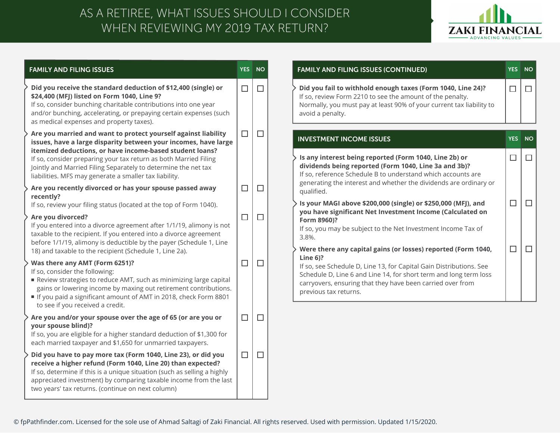## WHEN REVIEWING MY 2019 TAX RETURN? AS A RETIREE, WHAT ISSUES SHOULD I CONSIDER



| <b>FAMILY AND FILING ISSUES</b>                                                                                                                                                                                                                                                                                                     | <b>YES</b> | <b>NO</b> |
|-------------------------------------------------------------------------------------------------------------------------------------------------------------------------------------------------------------------------------------------------------------------------------------------------------------------------------------|------------|-----------|
| Did you receive the standard deduction of \$12,400 (single) or<br>\$24,400 (MFJ) listed on Form 1040, Line 9?<br>If so, consider bunching charitable contributions into one year<br>and/or bunching, accelerating, or prepaying certain expenses (such<br>as medical expenses and property taxes).                                  | $\Box$     | $\Box$    |
| Are you married and want to protect yourself against liability<br>issues, have a large disparity between your incomes, have large<br>itemized deductions, or have income-based student loans?<br>If so, consider preparing your tax return as both Married Filing<br>Jointly and Married Filing Separately to determine the net tax | $\Box$     | $\Box$    |
| liabilities. MFS may generate a smaller tax liability.<br>Are you recently divorced or has your spouse passed away<br>recently?<br>If so, review your filing status (located at the top of Form 1040).                                                                                                                              | □          | $\Box$    |
| Are you divorced?<br>If you entered into a divorce agreement after 1/1/19, alimony is not<br>taxable to the recipient. If you entered into a divorce agreement<br>before 1/1/19, alimony is deductible by the payer (Schedule 1, Line<br>18) and taxable to the recipient (Schedule 1, Line 2a).                                    | $\Box$     | $\Box$    |
| Was there any AMT (Form 6251)?<br>If so, consider the following:<br>Review strategies to reduce AMT, such as minimizing large capital<br>gains or lowering income by maxing out retirement contributions.<br>If you paid a significant amount of AMT in 2018, check Form 8801<br>to see if you received a credit.                   | □          | $\Box$    |
| Are you and/or your spouse over the age of 65 (or are you or<br>your spouse blind)?<br>If so, you are eligible for a higher standard deduction of \$1,300 for<br>each married taxpayer and \$1,650 for unmarried taxpayers.                                                                                                         | $\Box$     | $\Box$    |
| Did you have to pay more tax (Form 1040, Line 23), or did you<br>receive a higher refund (Form 1040, Line 20) than expected?<br>If so, determine if this is a unique situation (such as selling a highly<br>appreciated investment) by comparing taxable income from the last<br>two years' tax returns. (continue on next column)  | $\Box$     | $\Box$    |